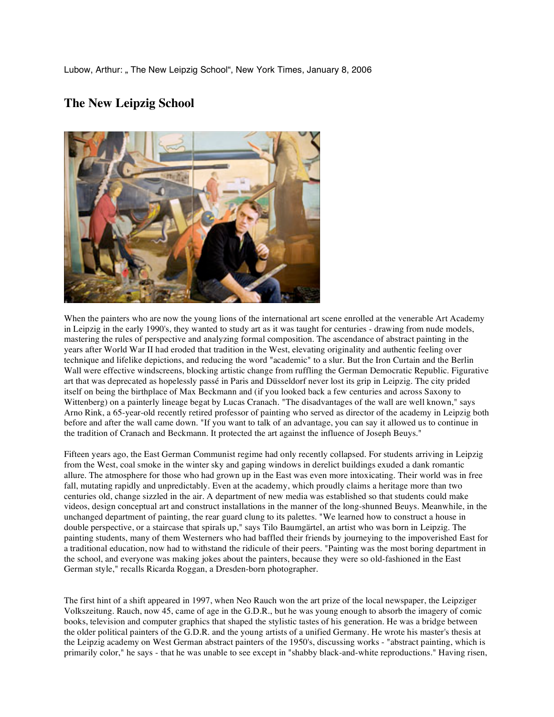## **The New Leipzig School**



When the painters who are now the young lions of the international art scene enrolled at the venerable Art Academy in Leipzig in the early 1990's, they wanted to study art as it was taught for centuries - drawing from nude models, mastering the rules of perspective and analyzing formal composition. The ascendance of abstract painting in the years after World War II had eroded that tradition in the West, elevating originality and authentic feeling over technique and lifelike depictions, and reducing the word "academic" to a slur. But the Iron Curtain and the Berlin Wall were effective windscreens, blocking artistic change from ruffling the German Democratic Republic. Figurative art that was deprecated as hopelessly passé in Paris and Düsseldorf never lost its grip in Leipzig. The city prided itself on being the birthplace of Max Beckmann and (if you looked back a few centuries and across Saxony to Wittenberg) on a painterly lineage begat by Lucas Cranach. "The disadvantages of the wall are well known," says Arno Rink, a 65-year-old recently retired professor of painting who served as director of the academy in Leipzig both before and after the wall came down. "If you want to talk of an advantage, you can say it allowed us to continue in the tradition of Cranach and Beckmann. It protected the art against the influence of Joseph Beuys."

Fifteen years ago, the East German Communist regime had only recently collapsed. For students arriving in Leipzig from the West, coal smoke in the winter sky and gaping windows in derelict buildings exuded a dank romantic allure. The atmosphere for those who had grown up in the East was even more intoxicating. Their world was in free fall, mutating rapidly and unpredictably. Even at the academy, which proudly claims a heritage more than two centuries old, change sizzled in the air. A department of new media was established so that students could make videos, design conceptual art and construct installations in the manner of the long-shunned Beuys. Meanwhile, in the unchanged department of painting, the rear guard clung to its palettes. "We learned how to construct a house in double perspective, or a staircase that spirals up," says Tilo Baumgärtel, an artist who was born in Leipzig. The painting students, many of them Westerners who had baffled their friends by journeying to the impoverished East for a traditional education, now had to withstand the ridicule of their peers. "Painting was the most boring department in the school, and everyone was making jokes about the painters, because they were so old-fashioned in the East German style," recalls Ricarda Roggan, a Dresden-born photographer.

The first hint of a shift appeared in 1997, when Neo Rauch won the art prize of the local newspaper, the Leipziger Volkszeitung. Rauch, now 45, came of age in the G.D.R., but he was young enough to absorb the imagery of comic books, television and computer graphics that shaped the stylistic tastes of his generation. He was a bridge between the older political painters of the G.D.R. and the young artists of a unified Germany. He wrote his master's thesis at the Leipzig academy on West German abstract painters of the 1950's, discussing works - "abstract painting, which is primarily color," he says - that he was unable to see except in "shabby black-and-white reproductions." Having risen,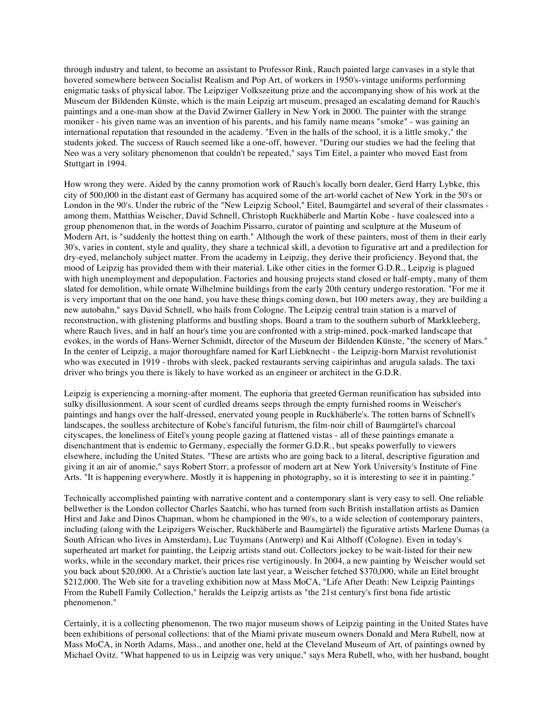through industry and talent, to become an assistant to Professor Rink, Rauch painted large canvases in a style that hovered somewhere between Socialist Realism and Pop Art, of workers in 1950's-vintage uniforms performing enigmatic tasks of physical labor. The Leipziger Volkszeitung prize and the accompanying show of his work at the Museum der Bildenden Künste, which is the main Leipzig art museum, presaged an escalating demand for Rauch's paintings and a one-man show at the David Zwirner Gallery in New York in 2000. The painter with the strange moniker - his given name was an invention of his parents, and his family name means "smoke" - was gaining an international reputation that resounded in the academy. "Even in the halls of the school, it is a little smoky," the students joked. The success of Rauch seemed like a one-off, however. "During our studies we had the feeling that Neo was a very solitary phenomenon that couldn't be repeated," says Tim Eitel, a painter who moved East from Stuttgart in 1994.

How wrong they were. Aided by the canny promotion work of Rauch's locally born dealer, Gerd Harry Lybke, this city of 500,000 in the distant east of Germany has acquired some of the art-world cachet of New York in the 50's or London in the 90's. Under the rubric of the "New Leipzig School," Eitel, Baumgärtel and several of their classmates among them, Matthias Weischer, David Schnell, Christoph Ruckhäberle and Martin Kobe - have coalesced into a group phenomenon that, in the words of Joachim Pissarro, curator of painting and sculpture at the Museum of Modern Art, is "suddenly the hottest thing on earth." Although the work of these painters, most of them in their early 30's, varies in content, style and quality, they share a technical skill, a devotion to figurative art and a predilection for dry-eyed, melancholy subject matter. From the academy in Leipzig, they derive their proficiency. Beyond that, the mood of Leipzig has provided them with their material. Like other cities in the former G.D.R., Leipzig is plagued with high unemployment and depopulation. Factories and housing projects stand closed or half-empty, many of them slated for demolition, while ornate Wilhelmine buildings from the early 20th century undergo restoration. "For me it is very important that on the one hand, you have these things coming down, but 100 meters away, they are building a new autobahn," says David Schnell, who hails from Cologne. The Leipzig central train station is a marvel of reconstruction, with glistening platforms and bustling shops. Board a tram to the southern suburb of Markkleeberg, where Rauch lives, and in half an hour's time you are confronted with a strip-mined, pock-marked landscape that evokes, in the words of Hans-Werner Schmidt, director of the Museum der Bildenden Künste, "the scenery of Mars." In the center of Leipzig, a major thoroughfare named for Karl Liebknecht - the Leipzig-born Marxist revolutionist who was executed in 1919 - throbs with sleek, packed restaurants serving caipirinhas and arugula salads. The taxi driver who brings you there is likely to have worked as an engineer or architect in the G.D.R.

Leipzig is experiencing a morning-after moment. The euphoria that greeted German reunification has subsided into sulky disillusionment. A sour scent of curdled dreams seeps through the empty furnished rooms in Weischer's paintings and hangs over the half-dressed, enervated young people in Ruckhäberle's. The rotten barns of Schnell's landscapes, the soulless architecture of Kobe's fanciful futurism, the film-noir chill of Baumgärtel's charcoal cityscapes, the loneliness of Eitel's young people gazing at flattened vistas - all of these paintings emanate a disenchantment that is endemic to Germany, especially the former G.D.R., but speaks powerfully to viewers elsewhere, including the United States. "These are artists who are going back to a literal, descriptive figuration and giving it an air of anomie," says Robert Storr, a professor of modern art at New York University's Institute of Fine Arts. "It is happening everywhere. Mostly it is happening in photography, so it is interesting to see it in painting."

Technically accomplished painting with narrative content and a contemporary slant is very easy to sell. One reliable bellwether is the London collector Charles Saatchi, who has turned from such British installation artists as Damien Hirst and Jake and Dinos Chapman, whom he championed in the 90's, to a wide selection of contemporary painters, including (along with the Leipzigers Weischer, Ruckhäberle and Baumgärtel) the figurative artists Marlene Dumas (a South African who lives in Amsterdam), Luc Tuymans (Antwerp) and Kai Althoff (Cologne). Even in today's superheated art market for painting, the Leipzig artists stand out. Collectors jockey to be wait-listed for their new works, while in the secondary market, their prices rise vertiginously. In 2004, a new painting by Weischer would set you back about \$20,000. At a Christie's auction late last year, a Weischer fetched \$370,000, while an Eitel brought \$212,000. The Web site for a traveling exhibition now at Mass MoCA, "Life After Death: New Leipzig Paintings From the Rubell Family Collection," heralds the Leipzig artists as "the 21st century's first bona fide artistic phenomenon."

Certainly, it is a collecting phenomenon. The two major museum shows of Leipzig painting in the United States have been exhibitions of personal collections: that of the Miami private museum owners Donald and Mera Rubell, now at Mass MoCA, in North Adams, Mass., and another one, held at the Cleveland Museum of Art, of paintings owned by Michael Ovitz. "What happened to us in Leipzig was very unique," says Mera Rubell, who, with her husband, bought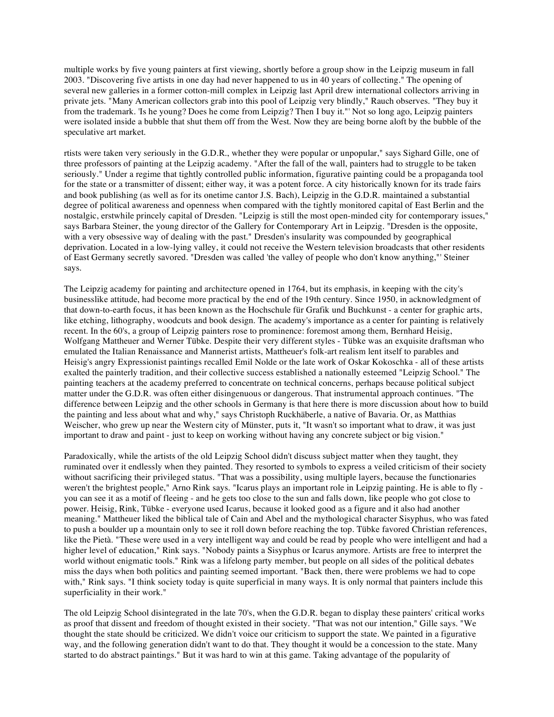multiple works by five young painters at first viewing, shortly before a group show in the Leipzig museum in fall 2003. "Discovering five artists in one day had never happened to us in 40 years of collecting." The opening of several new galleries in a former cotton-mill complex in Leipzig last April drew international collectors arriving in private jets. "Many American collectors grab into this pool of Leipzig very blindly," Rauch observes. "They buy it from the trademark. 'Is he young? Does he come from Leipzig? Then I buy it."' Not so long ago, Leipzig painters were isolated inside a bubble that shut them off from the West. Now they are being borne aloft by the bubble of the speculative art market.

rtists were taken very seriously in the G.D.R., whether they were popular or unpopular," says Sighard Gille, one of three professors of painting at the Leipzig academy. "After the fall of the wall, painters had to struggle to be taken seriously." Under a regime that tightly controlled public information, figurative painting could be a propaganda tool for the state or a transmitter of dissent; either way, it was a potent force. A city historically known for its trade fairs and book publishing (as well as for its onetime cantor J.S. Bach), Leipzig in the G.D.R. maintained a substantial degree of political awareness and openness when compared with the tightly monitored capital of East Berlin and the nostalgic, erstwhile princely capital of Dresden. "Leipzig is still the most open-minded city for contemporary issues," says Barbara Steiner, the young director of the Gallery for Contemporary Art in Leipzig. "Dresden is the opposite, with a very obsessive way of dealing with the past." Dresden's insularity was compounded by geographical deprivation. Located in a low-lying valley, it could not receive the Western television broadcasts that other residents of East Germany secretly savored. "Dresden was called 'the valley of people who don't know anything,"' Steiner says.

The Leipzig academy for painting and architecture opened in 1764, but its emphasis, in keeping with the city's businesslike attitude, had become more practical by the end of the 19th century. Since 1950, in acknowledgment of that down-to-earth focus, it has been known as the Hochschule für Grafik und Buchkunst - a center for graphic arts, like etching, lithography, woodcuts and book design. The academy's importance as a center for painting is relatively recent. In the 60's, a group of Leipzig painters rose to prominence: foremost among them, Bernhard Heisig, Wolfgang Mattheuer and Werner Tübke. Despite their very different styles - Tübke was an exquisite draftsman who emulated the Italian Renaissance and Mannerist artists, Mattheuer's folk-art realism lent itself to parables and Heisig's angry Expressionist paintings recalled Emil Nolde or the late work of Oskar Kokoschka - all of these artists exalted the painterly tradition, and their collective success established a nationally esteemed "Leipzig School." The painting teachers at the academy preferred to concentrate on technical concerns, perhaps because political subject matter under the G.D.R. was often either disingenuous or dangerous. That instrumental approach continues. "The difference between Leipzig and the other schools in Germany is that here there is more discussion about how to build the painting and less about what and why," says Christoph Ruckhäberle, a native of Bavaria. Or, as Matthias Weischer, who grew up near the Western city of Münster, puts it, "It wasn't so important what to draw, it was just important to draw and paint - just to keep on working without having any concrete subject or big vision."

Paradoxically, while the artists of the old Leipzig School didn't discuss subject matter when they taught, they ruminated over it endlessly when they painted. They resorted to symbols to express a veiled criticism of their society without sacrificing their privileged status. "That was a possibility, using multiple layers, because the functionaries weren't the brightest people," Arno Rink says. "Icarus plays an important role in Leipzig painting. He is able to fly you can see it as a motif of fleeing - and he gets too close to the sun and falls down, like people who got close to power. Heisig, Rink, Tübke - everyone used Icarus, because it looked good as a figure and it also had another meaning." Mattheuer liked the biblical tale of Cain and Abel and the mythological character Sisyphus, who was fated to push a boulder up a mountain only to see it roll down before reaching the top. Tübke favored Christian references, like the Pietà. "These were used in a very intelligent way and could be read by people who were intelligent and had a higher level of education," Rink says. "Nobody paints a Sisyphus or Icarus anymore. Artists are free to interpret the world without enigmatic tools." Rink was a lifelong party member, but people on all sides of the political debates miss the days when both politics and painting seemed important. "Back then, there were problems we had to cope with," Rink says. "I think society today is quite superficial in many ways. It is only normal that painters include this superficiality in their work."

The old Leipzig School disintegrated in the late 70's, when the G.D.R. began to display these painters' critical works as proof that dissent and freedom of thought existed in their society. "That was not our intention," Gille says. "We thought the state should be criticized. We didn't voice our criticism to support the state. We painted in a figurative way, and the following generation didn't want to do that. They thought it would be a concession to the state. Many started to do abstract paintings." But it was hard to win at this game. Taking advantage of the popularity of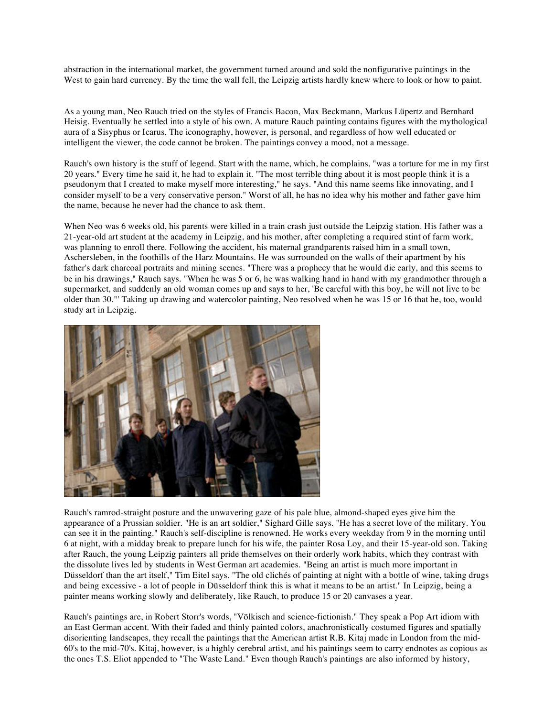abstraction in the international market, the government turned around and sold the nonfigurative paintings in the West to gain hard currency. By the time the wall fell, the Leipzig artists hardly knew where to look or how to paint.

As a young man, Neo Rauch tried on the styles of Francis Bacon, Max Beckmann, Markus Lüpertz and Bernhard Heisig. Eventually he settled into a style of his own. A mature Rauch painting contains figures with the mythological aura of a Sisyphus or Icarus. The iconography, however, is personal, and regardless of how well educated or intelligent the viewer, the code cannot be broken. The paintings convey a mood, not a message.

Rauch's own history is the stuff of legend. Start with the name, which, he complains, "was a torture for me in my first 20 years." Every time he said it, he had to explain it. "The most terrible thing about it is most people think it is a pseudonym that I created to make myself more interesting," he says. "And this name seems like innovating, and I consider myself to be a very conservative person." Worst of all, he has no idea why his mother and father gave him the name, because he never had the chance to ask them.

When Neo was 6 weeks old, his parents were killed in a train crash just outside the Leipzig station. His father was a 21-year-old art student at the academy in Leipzig, and his mother, after completing a required stint of farm work, was planning to enroll there. Following the accident, his maternal grandparents raised him in a small town, Aschersleben, in the foothills of the Harz Mountains. He was surrounded on the walls of their apartment by his father's dark charcoal portraits and mining scenes. "There was a prophecy that he would die early, and this seems to be in his drawings," Rauch says. "When he was 5 or 6, he was walking hand in hand with my grandmother through a supermarket, and suddenly an old woman comes up and says to her, 'Be careful with this boy, he will not live to be older than 30."' Taking up drawing and watercolor painting, Neo resolved when he was 15 or 16 that he, too, would study art in Leipzig.



Rauch's ramrod-straight posture and the unwavering gaze of his pale blue, almond-shaped eyes give him the appearance of a Prussian soldier. "He is an art soldier," Sighard Gille says. "He has a secret love of the military. You can see it in the painting." Rauch's self-discipline is renowned. He works every weekday from 9 in the morning until 6 at night, with a midday break to prepare lunch for his wife, the painter Rosa Loy, and their 15-year-old son. Taking after Rauch, the young Leipzig painters all pride themselves on their orderly work habits, which they contrast with the dissolute lives led by students in West German art academies. "Being an artist is much more important in Düsseldorf than the art itself," Tim Eitel says. "The old clichés of painting at night with a bottle of wine, taking drugs and being excessive - a lot of people in Düsseldorf think this is what it means to be an artist." In Leipzig, being a painter means working slowly and deliberately, like Rauch, to produce 15 or 20 canvases a year.

Rauch's paintings are, in Robert Storr's words, "Völkisch and science-fictionish." They speak a Pop Art idiom with an East German accent. With their faded and thinly painted colors, anachronistically costumed figures and spatially disorienting landscapes, they recall the paintings that the American artist R.B. Kitaj made in London from the mid-60's to the mid-70's. Kitaj, however, is a highly cerebral artist, and his paintings seem to carry endnotes as copious as the ones T.S. Eliot appended to "The Waste Land." Even though Rauch's paintings are also informed by history,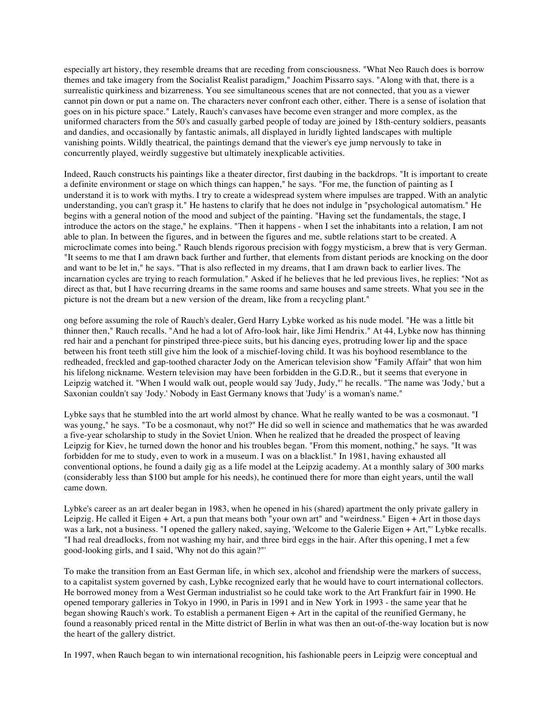especially art history, they resemble dreams that are receding from consciousness. "What Neo Rauch does is borrow themes and take imagery from the Socialist Realist paradigm," Joachim Pissarro says. "Along with that, there is a surrealistic quirkiness and bizarreness. You see simultaneous scenes that are not connected, that you as a viewer cannot pin down or put a name on. The characters never confront each other, either. There is a sense of isolation that goes on in his picture space." Lately, Rauch's canvases have become even stranger and more complex, as the uniformed characters from the 50's and casually garbed people of today are joined by 18th-century soldiers, peasants and dandies, and occasionally by fantastic animals, all displayed in luridly lighted landscapes with multiple vanishing points. Wildly theatrical, the paintings demand that the viewer's eye jump nervously to take in concurrently played, weirdly suggestive but ultimately inexplicable activities.

Indeed, Rauch constructs his paintings like a theater director, first daubing in the backdrops. "It is important to create a definite environment or stage on which things can happen," he says. "For me, the function of painting as I understand it is to work with myths. I try to create a widespread system where impulses are trapped. With an analytic understanding, you can't grasp it." He hastens to clarify that he does not indulge in "psychological automatism." He begins with a general notion of the mood and subject of the painting. "Having set the fundamentals, the stage, I introduce the actors on the stage," he explains. "Then it happens - when I set the inhabitants into a relation, I am not able to plan. In between the figures, and in between the figures and me, subtle relations start to be created. A microclimate comes into being." Rauch blends rigorous precision with foggy mysticism, a brew that is very German. "It seems to me that I am drawn back further and further, that elements from distant periods are knocking on the door and want to be let in," he says. "That is also reflected in my dreams, that I am drawn back to earlier lives. The incarnation cycles are trying to reach formulation." Asked if he believes that he led previous lives, he replies: "Not as direct as that, but I have recurring dreams in the same rooms and same houses and same streets. What you see in the picture is not the dream but a new version of the dream, like from a recycling plant."

ong before assuming the role of Rauch's dealer, Gerd Harry Lybke worked as his nude model. "He was a little bit thinner then," Rauch recalls. "And he had a lot of Afro-look hair, like Jimi Hendrix." At 44, Lybke now has thinning red hair and a penchant for pinstriped three-piece suits, but his dancing eyes, protruding lower lip and the space between his front teeth still give him the look of a mischief-loving child. It was his boyhood resemblance to the redheaded, freckled and gap-toothed character Jody on the American television show "Family Affair" that won him his lifelong nickname. Western television may have been forbidden in the G.D.R., but it seems that everyone in Leipzig watched it. "When I would walk out, people would say 'Judy, Judy,"' he recalls. "The name was 'Jody,' but a Saxonian couldn't say 'Jody.' Nobody in East Germany knows that 'Judy' is a woman's name."

Lybke says that he stumbled into the art world almost by chance. What he really wanted to be was a cosmonaut. "I was young," he says. "To be a cosmonaut, why not?" He did so well in science and mathematics that he was awarded a five-year scholarship to study in the Soviet Union. When he realized that he dreaded the prospect of leaving Leipzig for Kiev, he turned down the honor and his troubles began. "From this moment, nothing," he says. "It was forbidden for me to study, even to work in a museum. I was on a blacklist." In 1981, having exhausted all conventional options, he found a daily gig as a life model at the Leipzig academy. At a monthly salary of 300 marks (considerably less than \$100 but ample for his needs), he continued there for more than eight years, until the wall came down.

Lybke's career as an art dealer began in 1983, when he opened in his (shared) apartment the only private gallery in Leipzig. He called it Eigen + Art, a pun that means both "your own art" and "weirdness." Eigen + Art in those days was a lark, not a business. "I opened the gallery naked, saying, 'Welcome to the Galerie Eigen + Art,"' Lybke recalls. "I had real dreadlocks, from not washing my hair, and three bird eggs in the hair. After this opening, I met a few good-looking girls, and I said, 'Why not do this again?"'

To make the transition from an East German life, in which sex, alcohol and friendship were the markers of success, to a capitalist system governed by cash, Lybke recognized early that he would have to court international collectors. He borrowed money from a West German industrialist so he could take work to the Art Frankfurt fair in 1990. He opened temporary galleries in Tokyo in 1990, in Paris in 1991 and in New York in 1993 - the same year that he began showing Rauch's work. To establish a permanent Eigen + Art in the capital of the reunified Germany, he found a reasonably priced rental in the Mitte district of Berlin in what was then an out-of-the-way location but is now the heart of the gallery district.

In 1997, when Rauch began to win international recognition, his fashionable peers in Leipzig were conceptual and